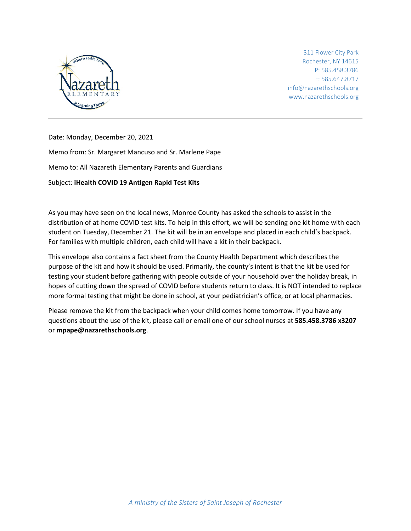

311 Flower City Park Rochester, NY 14615 P: 585.458.3786 F: 585.647.8717 info@nazarethschools.org www.nazarethschools.org

Date: Monday, December 20, 2021

Memo from: Sr. Margaret Mancuso and Sr. Marlene Pape

Memo to: All Nazareth Elementary Parents and Guardians

Subject: **iHealth COVID 19 Antigen Rapid Test Kits**

As you may have seen on the local news, Monroe County has asked the schools to assist in the distribution of at-home COVID test kits. To help in this effort, we will be sending one kit home with each student on Tuesday, December 21. The kit will be in an envelope and placed in each child's backpack. For families with multiple children, each child will have a kit in their backpack.

This envelope also contains a fact sheet from the County Health Department which describes the purpose of the kit and how it should be used. Primarily, the county's intent is that the kit be used for testing your student before gathering with people outside of your household over the holiday break, in hopes of cutting down the spread of COVID before students return to class. It is NOT intended to replace more formal testing that might be done in school, at your pediatrician's office, or at local pharmacies.

Please remove the kit from the backpack when your child comes home tomorrow. If you have any questions about the use of the kit, please call or email one of our school nurses at **585.458.3786 x3207** or **mpape@nazarethschools.org**.